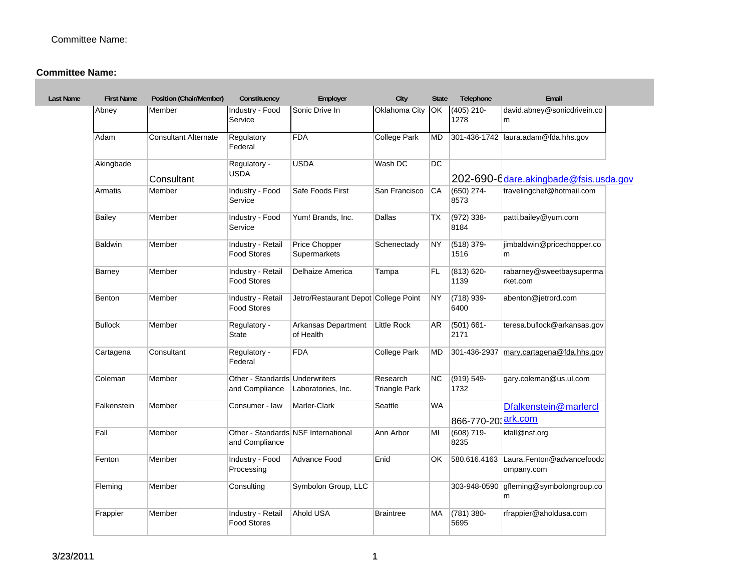| <b>Last Name</b> | <b>First Name</b> | Position (Chair/Member)     | Constituency                                     | Employer                             | City                             | <b>State</b> | Telephone                        | Email                                   |
|------------------|-------------------|-----------------------------|--------------------------------------------------|--------------------------------------|----------------------------------|--------------|----------------------------------|-----------------------------------------|
| Abney            |                   | Member                      | Industry - Food<br>Service                       | Sonic Drive In                       | Oklahoma City                    | OK           | $(405)$ 210-<br>1278             | david.abney@sonicdrivein.co<br>m        |
| Adam             |                   | <b>Consultant Alternate</b> | Regulatory<br>Federal                            | <b>FDA</b>                           | <b>College Park</b>              | <b>MD</b>    |                                  | 301-436-1742   laura.adam@fda.hhs.gov   |
|                  | Akingbade         | Consultant                  | Regulatory -<br><b>USDA</b>                      | <b>USDA</b>                          | Wash DC                          | DC           |                                  | 202-690-6 dare.akingbade@fsis.usda.gov  |
| Armatis          |                   | Member                      | Industry - Food<br>Service                       | Safe Foods First                     | San Francisco                    | CA           | (650) 274-<br>8573               | travelingchef@hotmail.com               |
| Bailey           |                   | Member                      | Industry - Food<br>Service                       | Yum! Brands, Inc.                    | Dallas                           | ТX           | $(972)$ 338-<br>8184             | patti.bailey@yum.com                    |
| <b>Baldwin</b>   |                   | Member                      | Industry - Retail<br><b>Food Stores</b>          | Price Chopper<br>Supermarkets        | Schenectady                      | <b>NY</b>    | (518) 379-<br>1516               | jimbaldwin@pricechopper.co<br>m         |
| Barney           |                   | Member                      | Industry - Retail<br><b>Food Stores</b>          | Delhaize America                     | Tampa                            | FL           | $(813) 620 -$<br>1139            | rabarney@sweetbaysuperma<br>rket.com    |
| Benton           |                   | Member                      | Industry - Retail<br><b>Food Stores</b>          | Jetro/Restaurant Depot College Point |                                  | <b>NY</b>    | (718) 939-<br>6400               | abenton@jetrord.com                     |
| <b>Bullock</b>   |                   | Member                      | Regulatory -<br><b>State</b>                     | Arkansas Department<br>of Health     | Little Rock                      | <b>AR</b>    | (501) 661-<br>2171               | teresa.bullock@arkansas.gov             |
|                  | Cartagena         | Consultant                  | Regulatory -<br>Federal                          | <b>FDA</b>                           | <b>College Park</b>              | MD           | 301-436-2937                     | mary.cartagena@fda.hhs.gov              |
| Coleman          |                   | Member                      | Other - Standards Underwriters<br>and Compliance | Laboratories, Inc.                   | Research<br><b>Triangle Park</b> | <b>NC</b>    | (919) 549-<br>1732               | gary.coleman@us.ul.com                  |
|                  | Falkenstein       | Member                      | Consumer - law                                   | Marler-Clark                         | Seattle                          | <b>WA</b>    | 866-770-20; <mark>ark.com</mark> | Dfalkenstein@marlercl                   |
| Fall             |                   | Member                      | and Compliance                                   | Other - Standards NSF International  | Ann Arbor                        | MI           | (608) 719-<br>8235               | kfall@nsf.org                           |
| Fenton           |                   | Member                      | Industry - Food<br>Processing                    | <b>Advance Food</b>                  | Enid                             | OK           | 580.616.4163                     | Laura.Fenton@advancefoodc<br>ompany.com |
| Fleming          |                   | Member                      | Consulting                                       | Symbolon Group, LLC                  |                                  |              | 303-948-0590                     | gfleming@symbolongroup.co<br>m          |
| Frappier         |                   | Member                      | Industry - Retail<br><b>Food Stores</b>          | Ahold USA                            | <b>Braintree</b>                 | МA           | $(781)$ 380-<br>5695             | rfrappier@aholdusa.com                  |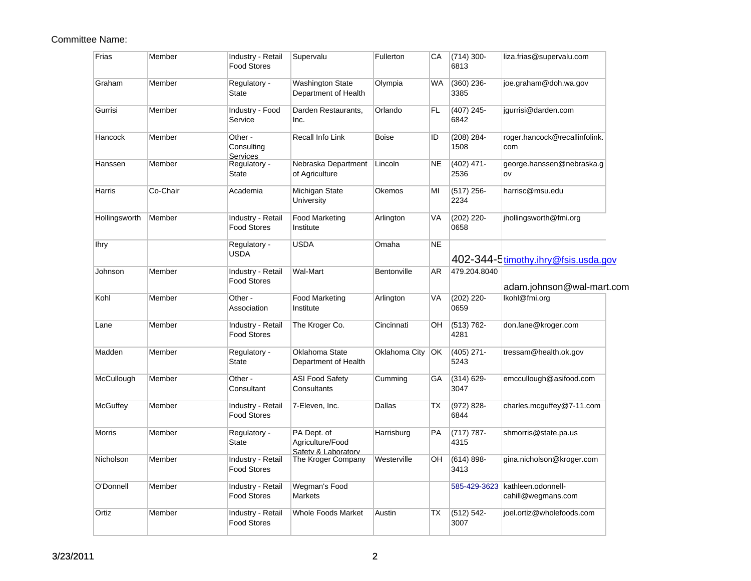| Frias         | Member   | Industry - Retail<br><b>Food Stores</b>  | Supervalu                                 | Fullerton     | СA        | $(714)$ 300-<br>6813  | liza.frias@supervalu.com                                |
|---------------|----------|------------------------------------------|-------------------------------------------|---------------|-----------|-----------------------|---------------------------------------------------------|
| Graham        | Member   | Regulatory -<br>State                    | Washington State<br>Department of Health  | Olympia       | WA        | $(360)$ 236-<br>3385  | joe.graham@doh.wa.gov                                   |
| Gurrisi       | Member   | Industry - Food<br>Service               | Darden Restaurants,<br>Inc.               | Orlando       | FL.       | $(407)$ 245-<br>6842  | jgurrisi@darden.com                                     |
| Hancock       | Member   | Other -<br>Consulting<br><b>Services</b> | Recall Info Link                          | <b>Boise</b>  | ID        | $(208) 284 -$<br>1508 | roger.hancock@recallinfolink.<br>com                    |
| Hanssen       | Member   | Regulatory -<br>State                    | Nebraska Department<br>of Agriculture     | Lincoln       | <b>NE</b> | $(402)$ 471-<br>2536  | george.hanssen@nebraska.g<br>ov                         |
| Harris        | Co-Chair | Academia                                 | Michigan State<br>University              | Okemos        | MI        | $(517)$ 256-<br>2234  | harrisc@msu.edu                                         |
| Hollingsworth | Member   | Industry - Retail<br><b>Food Stores</b>  | <b>Food Marketing</b><br>Institute        | Arlington     | VA        | $(202)$ 220-<br>0658  | jhollingsworth@fmi.org                                  |
| lhry          |          | Regulatory -<br>USDA                     | <b>USDA</b>                               | Omaha         | <b>NE</b> |                       | 402-344-5timothy.ihry@fsis.usda.gov                     |
| Johnson       | Member   | Industry - Retail<br><b>Food Stores</b>  | Wal-Mart                                  | Bentonville   | AR        | 479.204.8040          | adam.johnson@wal-mart.com                               |
| Kohl          | Member   | Other -<br>Association                   | <b>Food Marketing</b><br>Institute        | Arlington     | VA        | (202) 220-<br>0659    | Ikohl@fmi.org                                           |
| Lane          | Member   | Industry - Retail<br><b>Food Stores</b>  | The Kroger Co.                            | Cincinnati    | OH        | $(513) 762 -$<br>4281 | don.lane@kroger.com                                     |
| Madden        | Member   | Regulatory -<br>State                    | Oklahoma State<br>Department of Health    | Oklahoma City | <b>OK</b> | $(405)$ 271-<br>5243  | tressam@health.ok.gov                                   |
| McCullough    | Member   | Other -<br>Consultant                    | <b>ASI Food Safety</b><br>Consultants     | Cumming       | GA        | $(314) 629 -$<br>3047 | emccullough@asifood.com                                 |
| McGuffey      | Member   | Industry - Retail<br><b>Food Stores</b>  | 7-Eleven, Inc.                            | Dallas        | ТX        | $(972) 828 -$<br>6844 | charles.mcguffey@7-11.com                               |
| Morris        | Member   | Regulatory -<br>State                    | PA Dept. of<br>Agriculture/Food           | Harrisburg    | PA        | $(717) 787 -$<br>4315 | shmorris@state.pa.us                                    |
| Nicholson     | Member   | Industry - Retail<br><b>Food Stores</b>  | Safety & Laboratory<br>The Kroger Company | Westerville   | OH        | $(614) 898 -$<br>3413 | gina.nicholson@kroger.com                               |
| O'Donnell     | Member   | Industry - Retail<br><b>Food Stores</b>  | Wegman's Food<br>Markets                  |               |           |                       | 585-429-3623   kathleen.odonnell-<br>cahill@wegmans.com |
| Ortiz         | Member   | Industry - Retail<br><b>Food Stores</b>  | <b>Whole Foods Market</b>                 | Austin        | ТX        | $(512) 542 -$<br>3007 | ioel.ortiz@wholefoods.com                               |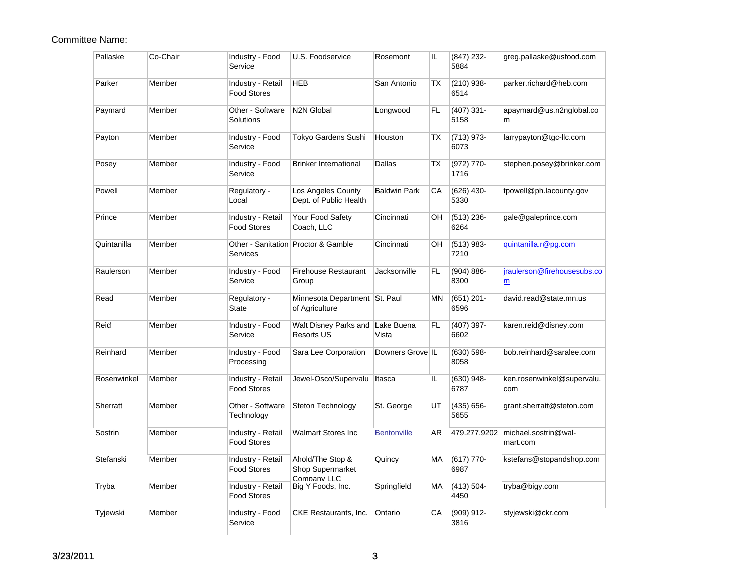| Pallaske    | Co-Chair | Industry - Food<br>Service              | U.S. Foodservice                                           | Rosemont            | IL.       | $(847)$ 232-<br>5884  | greg.pallaske@usfood.com          |
|-------------|----------|-----------------------------------------|------------------------------------------------------------|---------------------|-----------|-----------------------|-----------------------------------|
| Parker      | Member   | Industry - Retail<br><b>Food Stores</b> | <b>HEB</b>                                                 | San Antonio         | <b>TX</b> | $(210)$ 938-<br>6514  | parker.richard@heb.com            |
| Paymard     | Member   | Other - Software<br>Solutions           | <b>N2N Global</b>                                          | Longwood            | FL        | $(407)$ 331-<br>5158  | apaymard@us.n2nglobal.co<br>m     |
| Payton      | Member   | Industry - Food<br>Service              | <b>Tokyo Gardens Sushi</b>                                 | Houston             | <b>TX</b> | $(713)$ 973-<br>6073  | larrypayton@tgc-llc.com           |
| Posey       | Member   | Industry - Food<br>Service              | <b>Brinker International</b>                               | Dallas              | <b>TX</b> | (972) 770-<br>1716    | stephen.posey@brinker.com         |
| Powell      | Member   | Regulatory -<br>Local                   | Los Angeles County<br>Dept. of Public Health               | <b>Baldwin Park</b> | CA        | $(626)$ 430-<br>5330  | tpowell@ph.lacounty.gov           |
| Prince      | Member   | Industry - Retail<br><b>Food Stores</b> | Your Food Safety<br>Coach, LLC                             | Cincinnati          | OH        | $(513)$ 236-<br>6264  | gale@galeprince.com               |
| Quintanilla | Member   | Services                                | Other - Sanitation Proctor & Gamble                        | Cincinnati          | OH        | $(513) 983 -$<br>7210 | quintanilla.r@pq.com              |
| Raulerson   | Member   | Industry - Food<br>Service              | <b>Firehouse Restaurant</b><br>Group                       | Jacksonville        | <b>FL</b> | $(904) 886 -$<br>8300 | jraulerson@firehousesubs.co<br>m  |
| Read        | Member   | Regulatory -<br><b>State</b>            | Minnesota Department   St. Paul<br>of Agriculture          |                     | <b>MN</b> | $(651)$ 201-<br>6596  | david.read@state.mn.us            |
| Reid        | Member   | Industry - Food<br>Service              | Walt Disney Parks and Lake Buena<br><b>Resorts US</b>      | Vista               | <b>FL</b> | $(407)$ 397-<br>6602  | karen.reid@disney.com             |
| Reinhard    | Member   | Industry - Food<br>Processing           | Sara Lee Corporation                                       | Downers Grove IL    |           | $(630) 598 -$<br>8058 | bob.reinhard@saralee.com          |
| Rosenwinkel | Member   | Industry - Retail<br><b>Food Stores</b> | Jewel-Osco/Supervalu                                       | Itasca              | IL        | $(630)$ 948-<br>6787  | ken.rosenwinkel@supervalu.<br>com |
| Sherratt    | Member   | Other - Software<br>Technology          | Steton Technology                                          | St. George          | UT        | $(435) 656 -$<br>5655 | grant.sherratt@steton.com         |
| Sostrin     | Member   | Industry - Retail<br><b>Food Stores</b> | <b>Walmart Stores Inc</b>                                  | <b>Bentonville</b>  | AR        | 479.277.9202          | michael.sostrin@wal-<br>mart.com  |
| Stefanski   | Member   | Industry - Retail<br><b>Food Stores</b> | Ahold/The Stop &<br><b>Shop Supermarket</b><br>Company LLC | Quincy              | МA        | $(617)$ 770-<br>6987  | kstefans@stopandshop.com          |
| Tryba       | Member   | Industry - Retail<br><b>Food Stores</b> | Big Y Foods, Inc.                                          | Springfield         | MA.       | $(413) 504 -$<br>4450 | tryba@bigy.com                    |
| Tyjewski    | Member   | Industry - Food<br>Service              | CKE Restaurants, Inc. Ontario                              |                     | CA        | $(909)$ 912-<br>3816  | styjewski@ckr.com                 |